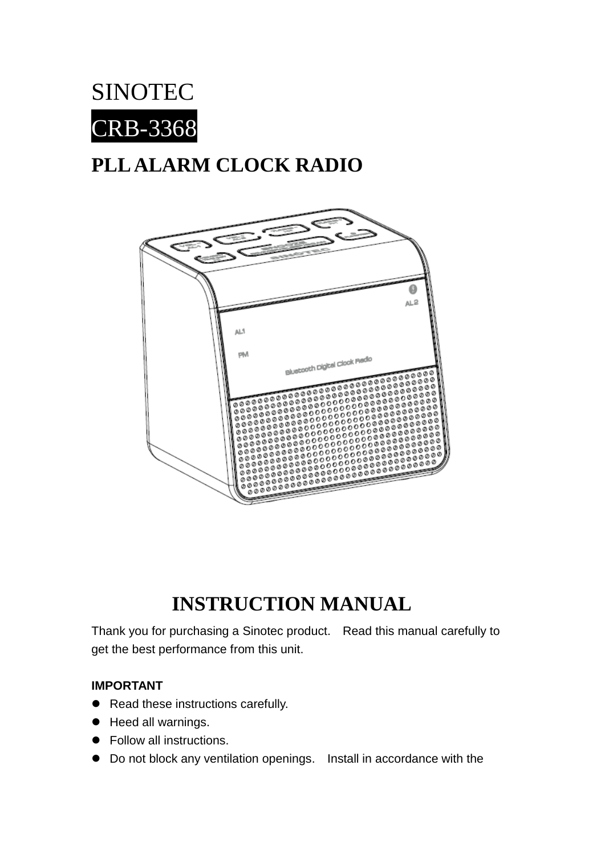

# **PLL ALARM CLOCK RADIO**



# **INSTRUCTION MANUAL**

Thank you for purchasing a Sinotec product. Read this manual carefully to get the best performance from this unit.

#### **IMPORTANT**

- Read these instructions carefully.
- Heed all warnings.
- Follow all instructions.
- Do not block any ventilation openings. Install in accordance with the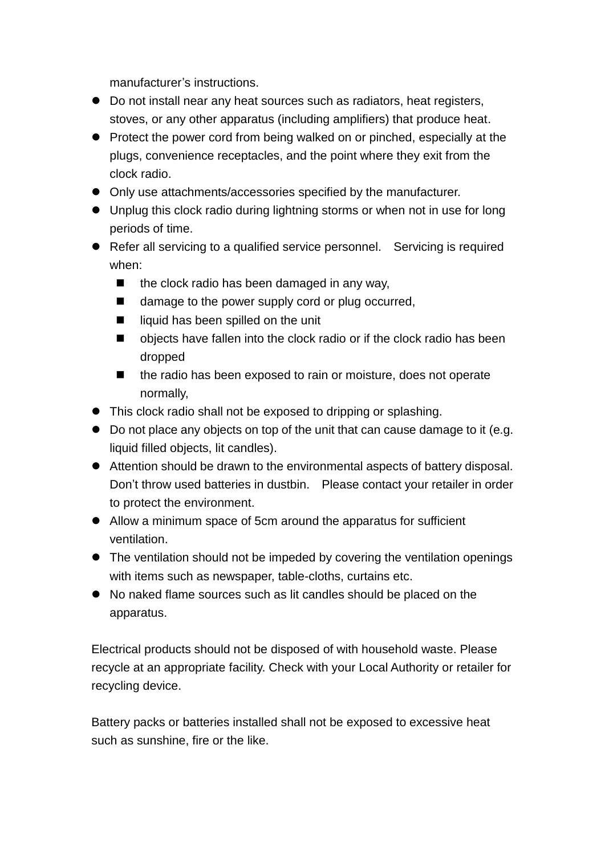manufacturer's instructions.

- Do not install near any heat sources such as radiators, heat registers, stoves, or any other apparatus (including amplifiers) that produce heat.
- Protect the power cord from being walked on or pinched, especially at the plugs, convenience receptacles, and the point where they exit from the clock radio.
- Only use attachments/accessories specified by the manufacturer.
- Unplug this clock radio during lightning storms or when not in use for long periods of time.
- Refer all servicing to a qualified service personnel. Servicing is required when:
	- $\blacksquare$  the clock radio has been damaged in any way,
	- damage to the power supply cord or plug occurred,
	- $\blacksquare$  liquid has been spilled on the unit
	- objects have fallen into the clock radio or if the clock radio has been dropped
	- the radio has been exposed to rain or moisture, does not operate normally,
- This clock radio shall not be exposed to dripping or splashing.
- Do not place any objects on top of the unit that can cause damage to it (e.g. liquid filled objects, lit candles).
- Attention should be drawn to the environmental aspects of battery disposal. Don't throw used batteries in dustbin. Please contact your retailer in order to protect the environment.
- Allow a minimum space of 5cm around the apparatus for sufficient ventilation.
- The ventilation should not be impeded by covering the ventilation openings with items such as newspaper, table-cloths, curtains etc.
- No naked flame sources such as lit candles should be placed on the apparatus.

Electrical products should not be disposed of with household waste. Please recycle at an appropriate facility. Check with your Local Authority or retailer for recycling device.

Battery packs or batteries installed shall not be exposed to excessive heat such as sunshine, fire or the like.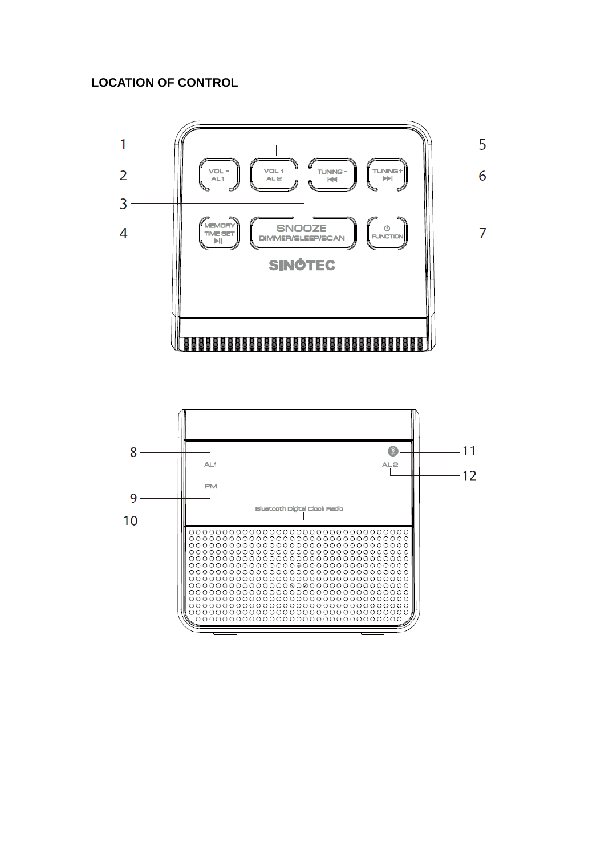#### **LOCATION OF CONTROL**



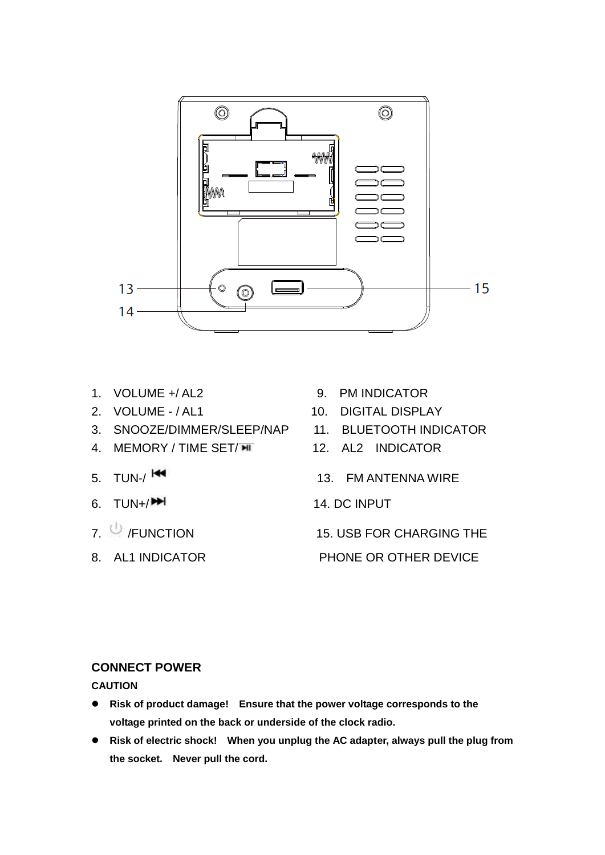

- 
- 
- 3. SNOOZE/DIMMER/SLEEP/NAP 11. BLUETOOTH INDICATOR
- 4. MEMORY / TIME SET/ $\overline{M}$  12. AL2 INDICATOR
- 
- 
- 
- 
- 1. VOLUME +/ AL2 9. PM INDICATOR
- 2. VOLUME / AL1 10. DIGITAL DISPLAY
	-
	-
- 5. TUN-/ <sup>144</sup> 2002 13. FM ANTENNA WIRE
- 6.  $TUN+ / P$
- 7. <sup>(b)</sup> /FUNCTION 15. USB FOR CHARGING THE

8. AL1 INDICATOR PHONE OR OTHER DEVICE

#### **CONNECT POWER**

**CAUTION**

- **Risk of product damage! Ensure that the power voltage corresponds to the voltage printed on the back or underside of the clock radio.**
- **Risk of electric shock! When you unplug the AC adapter, always pull the plug from the socket. Never pull the cord.**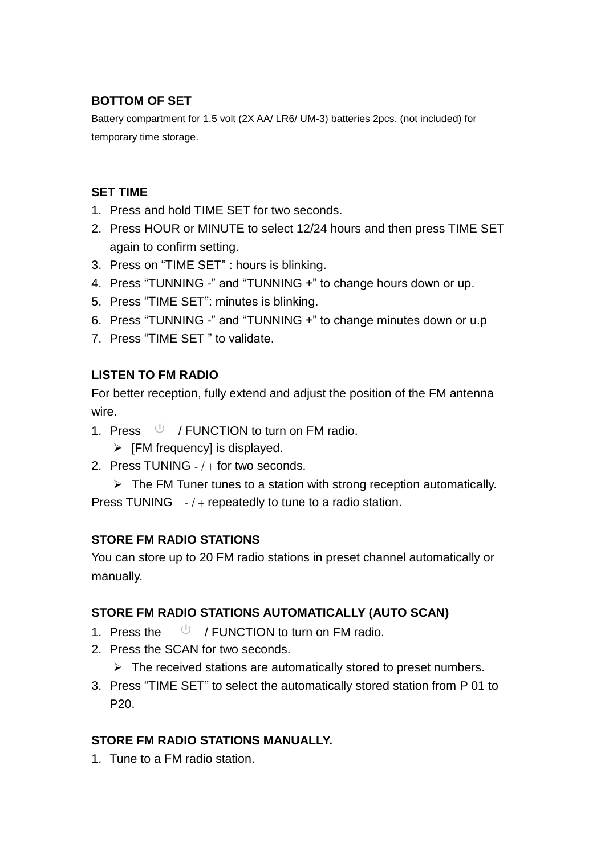## **BOTTOM OF SET**

Battery compartment for 1.5 volt (2X AA/ LR6/ UM-3) batteries 2pcs. (not included) for temporary time storage.

#### **SET TIME**

- 1. Press and hold TIME SET for two seconds.
- 2. Press HOUR or MINUTE to select 12/24 hours and then press TIME SET again to confirm setting.
- 3. Press on "TIME SET" : hours is blinking.
- 4. Press "TUNNING -" and "TUNNING +" to change hours down or up.
- 5. Press "TIME SET": minutes is blinking.
- 6. Press "TUNNING -" and "TUNNING +" to change minutes down or u.p
- 7. Press "TIME SET " to validate.

## **LISTEN TO FM RADIO**

For better reception, fully extend and adjust the position of the FM antenna wire.

- 1. Press  $\cup$  / FUNCTION to turn on FM radio.
	- $\triangleright$  [FM frequency] is displayed.
- 2. Press TUNING / + for two seconds.

 $\triangleright$  The FM Tuner tunes to a station with strong reception automatically. Press TUNING  $-1$  + repeatedly to tune to a radio station.

## **STORE FM RADIO STATIONS**

You can store up to 20 FM radio stations in preset channel automatically or manually.

## **STORE FM RADIO STATIONS AUTOMATICALLY (AUTO SCAN)**

- 1. Press the  $\bigcup$  / FUNCTION to turn on FM radio.
- 2. Press the SCAN for two seconds.
	- $\triangleright$  The received stations are automatically stored to preset numbers.
- 3. Press "TIME SET" to select the automatically stored station from P 01 to P20.

## **STORE FM RADIO STATIONS MANUALLY.**

1. Tune to a FM radio station.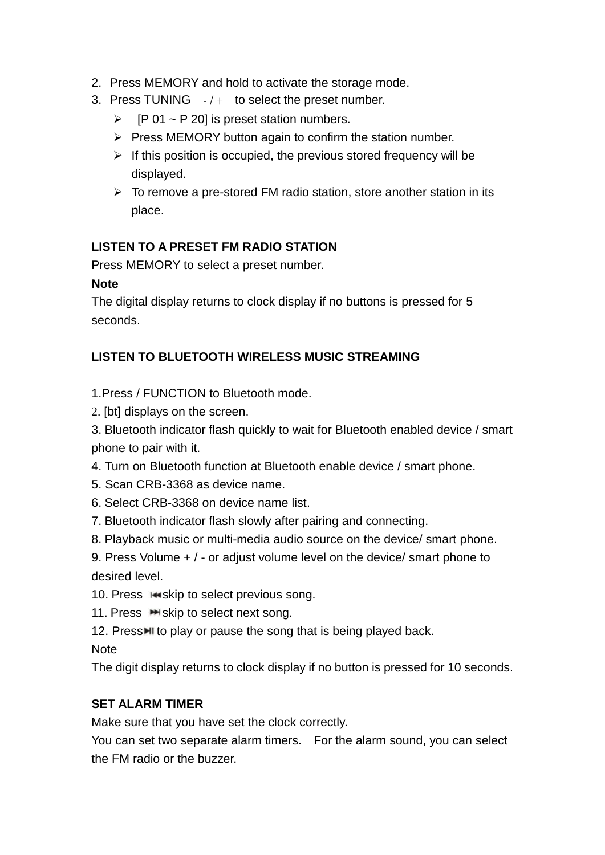- 2. Press MEMORY and hold to activate the storage mode.
- 3. Press TUNING  $-1 +$  to select the preset number.
	- $\triangleright$  [P 01 ~ P 20] is preset station numbers.
	- $\triangleright$  Press MEMORY button again to confirm the station number.
	- $\triangleright$  If this position is occupied, the previous stored frequency will be displayed.
	- $\triangleright$  To remove a pre-stored FM radio station, store another station in its place.

#### **LISTEN TO A PRESET FM RADIO STATION**

Press MEMORY to select a preset number.

#### **Note**

The digital display returns to clock display if no buttons is pressed for 5 seconds.

#### **LISTEN TO BLUETOOTH WIRELESS MUSIC STREAMING**

#### 1.Press / FUNCTION to Bluetooth mode.

2. [bt] displays on the screen.

3. Bluetooth indicator flash quickly to wait for Bluetooth enabled device / smart phone to pair with it.

- 4. Turn on Bluetooth function at Bluetooth enable device / smart phone.
- 5. Scan CRB-3368 as device name.
- 6. Select CRB-3368 on device name list.
- 7. Bluetooth indicator flash slowly after pairing and connecting.
- 8. Playback music or multi-media audio source on the device/ smart phone.

9. Press Volume + / - or adjust volume level on the device/ smart phone to desired level.

- 10. Press in skip to select previous song.
- 11. Press  $\blacktriangleright$  skip to select next song.
- 12. Press I to play or pause the song that is being played back.

**Note** 

The digit display returns to clock display if no button is pressed for 10 seconds.

#### **SET ALARM TIMER**

Make sure that you have set the clock correctly.

You can set two separate alarm timers. For the alarm sound, you can select the FM radio or the buzzer.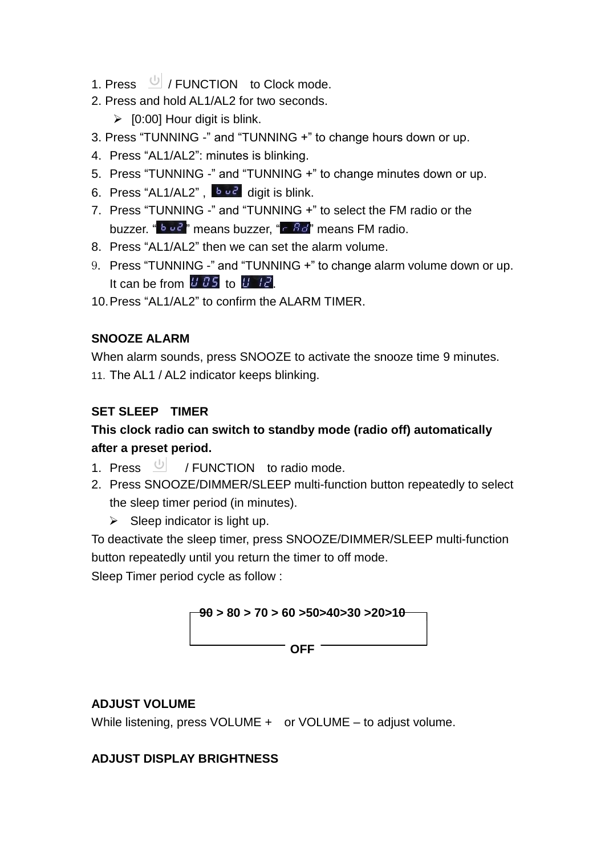- 1. Press  $\cup$  / FUNCTION to Clock mode.
- 2. Press and hold AL1/AL2 for two seconds.

 $\triangleright$  [0:00] Hour digit is blink.

- 3. Press "TUNNING -" and "TUNNING +" to change hours down or up.
- 4. Press "AL1/AL2": minutes is blinking.
- 5. Press "TUNNING -" and "TUNNING +" to change minutes down or up.
- 6. Press "AL1/AL2",  $\begin{bmatrix} b & b & c \\ c & d \end{bmatrix}$  digit is blink.
- 7. Press "TUNNING -" and "TUNNING +" to select the FM radio or the buzzer. "  $\frac{b}{c}$   $\frac{c}{c}$  means buzzer. "  $\frac{c}{c}$   $\frac{c}{c}$  means FM radio.
- 8. Press "AL1/AL2" then we can set the alarm volume.
- 9. Press "TUNNING -" and "TUNNING +" to change alarm volume down or up. It can be from  $UB5$  to  $B172$ .
- 10.Press "AL1/AL2" to confirm the ALARM TIMER.

# **SNOOZE ALARM**

When alarm sounds, press SNOOZE to activate the snooze time 9 minutes. 11. The AL1 / AL2 indicator keeps blinking.

# **SET SLEEP TIMER**

# **This clock radio can switch to standby mode (radio off) automatically after a preset period.**

- 1. Press  $\bigcup$  / FUNCTION to radio mode.
- 2. Press SNOOZE/DIMMER/SLEEP multi-function button repeatedly to select the sleep timer period (in minutes).
	- $\triangleright$  Sleep indicator is light up.

To deactivate the sleep timer, press SNOOZE/DIMMER/SLEEP multi-function button repeatedly until you return the timer to off mode.

Sleep Timer period cycle as follow :



# **ADJUST VOLUME**

While listening, press VOLUME + or VOLUME – to adjust volume.

## **ADJUST DISPLAY BRIGHTNESS**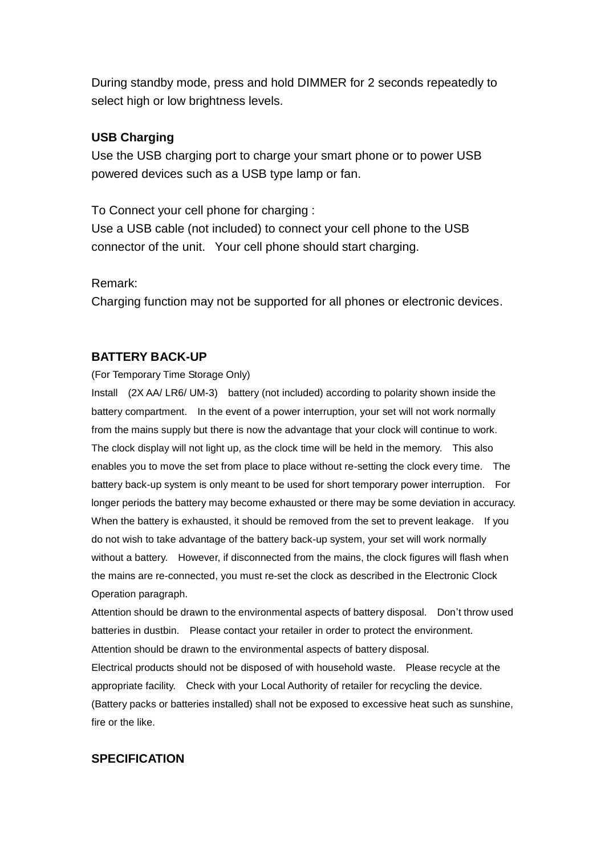During standby mode, press and hold DIMMER for 2 seconds repeatedly to select high or low brightness levels.

#### **USB Charging**

Use the USB charging port to charge your smart phone or to power USB powered devices such as a USB type lamp or fan.

To Connect your cell phone for charging : Use a USB cable (not included) to connect your cell phone to the USB connector of the unit. Your cell phone should start charging.

Remark:

Charging function may not be supported for all phones or electronic devices.

#### **BATTERY BACK-UP**

(For Temporary Time Storage Only)

Install (2X AA/ LR6/ UM-3) battery (not included) according to polarity shown inside the battery compartment. In the event of a power interruption, your set will not work normally from the mains supply but there is now the advantage that your clock will continue to work. The clock display will not light up, as the clock time will be held in the memory. This also enables you to move the set from place to place without re-setting the clock every time. The battery back-up system is only meant to be used for short temporary power interruption. For longer periods the battery may become exhausted or there may be some deviation in accuracy. When the battery is exhausted, it should be removed from the set to prevent leakage. If you do not wish to take advantage of the battery back-up system, your set will work normally without a battery. However, if disconnected from the mains, the clock figures will flash when the mains are re-connected, you must re-set the clock as described in the Electronic Clock Operation paragraph.

Attention should be drawn to the environmental aspects of battery disposal. Don't throw used batteries in dustbin. Please contact your retailer in order to protect the environment. Attention should be drawn to the environmental aspects of battery disposal.

Electrical products should not be disposed of with household waste. Please recycle at the appropriate facility. Check with your Local Authority of retailer for recycling the device. (Battery packs or batteries installed) shall not be exposed to excessive heat such as sunshine, fire or the like.

#### **SPECIFICATION**